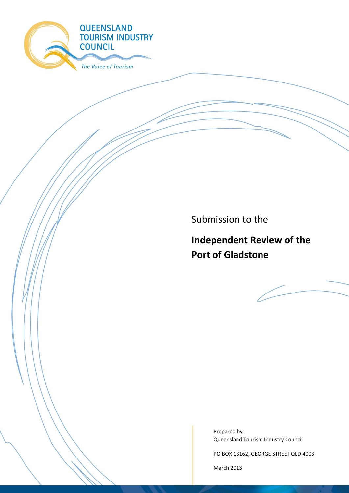

Submission to the

**Independent Review of the Port of Gladstone**



PO BOX 13162, GEORGE STREET QLD 4003

March 2013

**1 |** QTIC Submission – Independent Review of the Port of Gladstone (March 2013)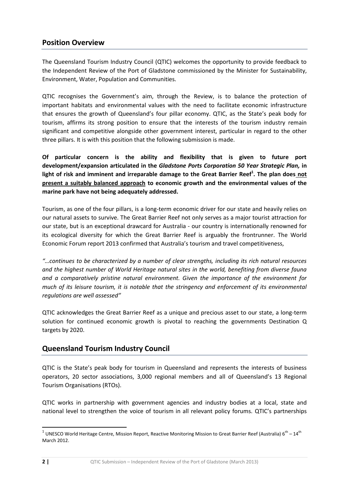# **Position Overview**

The Queensland Tourism Industry Council (QTIC) welcomes the opportunity to provide feedback to the Independent Review of the Port of Gladstone commissioned by the Minister for Sustainability, Environment, Water, Population and Communities*.*

QTIC recognises the Government's aim, through the Review, is to balance the protection of important habitats and environmental values with the need to facilitate economic infrastructure that ensures the growth of Queensland's four pillar economy. QTIC, as the State's peak body for tourism, affirms its strong position to ensure that the interests of the tourism industry remain significant and competitive alongside other government interest, particular in regard to the other three pillars. It is with this position that the following submission is made.

**Of particular concern is the ability and flexibility that is given to future port development/expansion articulated in the** *Gladstone Ports Corporation 50 Year Strategic Plan,* **in light of risk and imminent and irreparable damage to the Great Barrier Reef<sup>1</sup> . The plan does not present a suitably balanced approach to economic growth and the environmental values of the marine park have not being adequately addressed.** 

Tourism, as one of the four pillars, is a long-term economic driver for our state and heavily relies on our natural assets to survive. The Great Barrier Reef not only serves as a major tourist attraction for our state, but is an exceptional drawcard for Australia - our country is internationally renowned for its ecological diversity for which the Great Barrier Reef is arguably the frontrunner. The World Economic Forum report 2013 confirmed that Australia's tourism and travel competitiveness,

*"…continues to be characterized by a number of clear strengths, including its rich natural resources and the highest number of World Heritage natural sites in the world, benefiting from diverse fauna and a comparatively pristine natural environment. Given the importance of the environment for much of its leisure tourism, it is notable that the stringency and enforcement of its environmental regulations are well assessed"*

QTIC acknowledges the Great Barrier Reef as a unique and precious asset to our state, a long-term solution for continued economic growth is pivotal to reaching the governments Destination Q targets by 2020.

## **Queensland Tourism Industry Council**

QTIC is the State's peak body for tourism in Queensland and represents the interests of business operators, 20 sector associations, 3,000 regional members and all of Queensland's 13 Regional Tourism Organisations (RTOs).

QTIC works in partnership with government agencies and industry bodies at a local, state and national level to strengthen the voice of tourism in all relevant policy forums. QTIC's partnerships

**.** 

<sup>&</sup>lt;sup>1</sup> UNESCO World Heritage Centre, Mission Report, Reactive Monitoring Mission to Great Barrier Reef (Australia) 6<sup>th</sup> – 14<sup>th</sup> March 2012.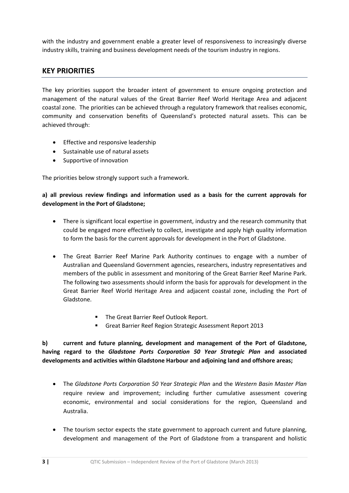with the industry and government enable a greater level of responsiveness to increasingly diverse industry skills, training and business development needs of the tourism industry in regions.

## **KEY PRIORITIES**

The key priorities support the broader intent of government to ensure ongoing protection and management of the natural values of the Great Barrier Reef World Heritage Area and adjacent coastal zone. The priorities can be achieved through a regulatory framework that realises economic, community and conservation benefits of Queensland's protected natural assets. This can be achieved through:

- Effective and responsive leadership
- Sustainable use of natural assets
- Supportive of innovation

The priorities below strongly support such a framework.

#### **a) all previous review findings and information used as a basis for the current approvals for development in the Port of Gladstone;**

- There is significant local expertise in government, industry and the research community that could be engaged more effectively to collect, investigate and apply high quality information to form the basis for the current approvals for development in the Port of Gladstone.
- The Great Barrier Reef Marine Park Authority continues to engage with a number of Australian and Queensland Government agencies, researchers, industry representatives and members of the public in assessment and monitoring of the Great Barrier Reef Marine Park. The following two assessments should inform the basis for approvals for development in the Great Barrier Reef World Heritage Area and adjacent coastal zone, including the Port of Gladstone.
	- The Great Barrier Reef Outlook Report.
	- Great Barrier Reef Region Strategic Assessment Report 2013

#### **b) current and future planning, development and management of the Port of Gladstone, having regard to the** *Gladstone Ports Corporation 50 Year Strategic Plan* **and associated developments and activities within Gladstone Harbour and adjoining land and offshore areas;**

- The *Gladstone Ports Corporation 50 Year Strategic Plan* and the *Western Basin Master Plan*  require review and improvement; including further cumulative assessment covering economic, environmental and social considerations for the region, Queensland and Australia.
- The tourism sector expects the state government to approach current and future planning, development and management of the Port of Gladstone from a transparent and holistic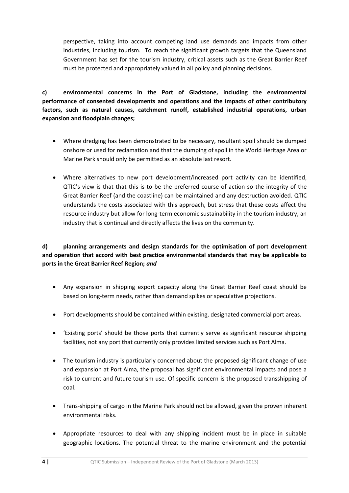perspective, taking into account competing land use demands and impacts from other industries, including tourism. To reach the significant growth targets that the Queensland Government has set for the tourism industry, critical assets such as the Great Barrier Reef must be protected and appropriately valued in all policy and planning decisions.

**c) environmental concerns in the Port of Gladstone, including the environmental performance of consented developments and operations and the impacts of other contributory factors, such as natural causes, catchment runoff, established industrial operations, urban expansion and floodplain changes;**

- Where dredging has been demonstrated to be necessary, resultant spoil should be dumped onshore or used for reclamation and that the dumping of spoil in the World Heritage Area or Marine Park should only be permitted as an absolute last resort.
- Where alternatives to new port development/increased port activity can be identified, QTIC's view is that that this is to be the preferred course of action so the integrity of the Great Barrier Reef (and the coastline) can be maintained and any destruction avoided. QTIC understands the costs associated with this approach, but stress that these costs affect the resource industry but allow for long-term economic sustainability in the tourism industry, an industry that is continual and directly affects the lives on the community.

### **d) planning arrangements and design standards for the optimisation of port development and operation that accord with best practice environmental standards that may be applicable to ports in the Great Barrier Reef Region;** *and*

- Any expansion in shipping export capacity along the Great Barrier Reef coast should be based on long-term needs, rather than demand spikes or speculative projections.
- Port developments should be contained within existing, designated commercial port areas.
- 'Existing ports' should be those ports that currently serve as significant resource shipping facilities, not any port that currently only provides limited services such as Port Alma.
- The tourism industry is particularly concerned about the proposed significant change of use and expansion at Port Alma, the proposal has significant environmental impacts and pose a risk to current and future tourism use. Of specific concern is the proposed transshipping of coal.
- Trans-shipping of cargo in the Marine Park should not be allowed, given the proven inherent environmental risks.
- Appropriate resources to deal with any shipping incident must be in place in suitable geographic locations. The potential threat to the marine environment and the potential